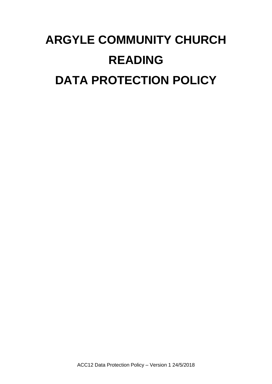# **ARGYLE COMMUNITY CHURCH READING DATA PROTECTION POLICY**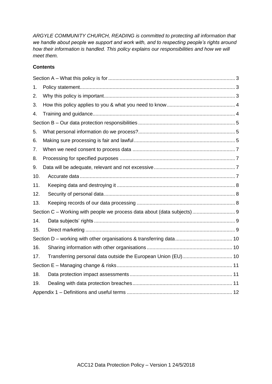*ARGYLE COMMUNITY CHURCH, READING is committed to protecting all information that we handle about people we support and work with, and to respecting people's rights around how their information is handled. This policy explains our responsibilities and how we will meet them.*

## **Contents**

| 1.  |                                                                         |  |
|-----|-------------------------------------------------------------------------|--|
| 2.  |                                                                         |  |
| 3.  |                                                                         |  |
| 4.  |                                                                         |  |
|     |                                                                         |  |
| 5.  |                                                                         |  |
| 6.  |                                                                         |  |
| 7.  |                                                                         |  |
| 8.  |                                                                         |  |
| 9.  |                                                                         |  |
| 10. |                                                                         |  |
| 11. |                                                                         |  |
| 12. |                                                                         |  |
| 13. |                                                                         |  |
|     | Section C - Working with people we process data about (data subjects) 9 |  |
| 14. |                                                                         |  |
| 15. |                                                                         |  |
|     |                                                                         |  |
| 16. |                                                                         |  |
| 17. | Transferring personal data outside the European Union (EU) 10           |  |
|     |                                                                         |  |
| 18. |                                                                         |  |
| 19. |                                                                         |  |
|     |                                                                         |  |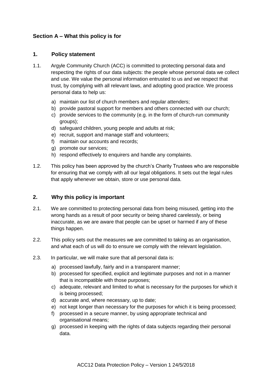# <span id="page-2-1"></span><span id="page-2-0"></span>**Section A – What this policy is for**

#### **1. Policy statement**

- 1.1. Argyle Community Church (ACC) is committed to protecting personal data and respecting the rights of our data subjects: the people whose personal data we collect and use. We value the personal information entrusted to us and we respect that trust, by complying with all relevant laws, and adopting good practice. We process personal data to help us:
	- a) maintain our list of church members and regular attenders;
	- b) provide pastoral support for members and others connected with our church;
	- c) provide services to the community (e.g. in the form of church-run community groups);
	- d) safeguard children, young people and adults at risk;
	- e) recruit, support and manage staff and volunteers;
	- f) maintain our accounts and records;
	- g) promote our services;
	- h) respond effectively to enquirers and handle any complaints.
- 1.2. This policy has been approved by the church's Charity Trustees who are responsible for ensuring that we comply with all our legal obligations. It sets out the legal rules that apply whenever we obtain, store or use personal data.

## <span id="page-2-2"></span>**2. Why this policy is important**

- 2.1. We are committed to protecting personal data from being misused, getting into the wrong hands as a result of poor security or being shared carelessly, or being inaccurate, as we are aware that people can be upset or harmed if any of these things happen.
- 2.2. This policy sets out the measures we are committed to taking as an organisation, and what each of us will do to ensure we comply with the relevant legislation.
- 2.3. In particular, we will make sure that all personal data is:
	- a) processed lawfully, fairly and in a transparent manner;
	- b) processed for specified, explicit and legitimate purposes and not in a manner that is incompatible with those purposes;
	- c) adequate, relevant and limited to what is necessary for the purposes for which it is being processed;
	- d) accurate and, where necessary, up to date;
	- e) not kept longer than necessary for the purposes for which it is being processed;
	- f) processed in a secure manner, by using appropriate technical and organisational means;
	- g) processed in keeping with the rights of data subjects regarding their personal data.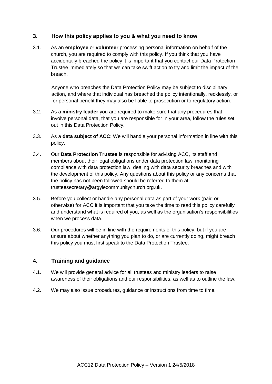### <span id="page-3-0"></span>**3. How this policy applies to you & what you need to know**

3.1. As an **employee** or **volunteer** processing personal information on behalf of the church, you are required to comply with this policy. If you think that you have accidentally breached the policy it is important that you contact our Data Protection Trustee immediately so that we can take swift action to try and limit the impact of the breach.

Anyone who breaches the Data Protection Policy may be subject to disciplinary action, and where that individual has breached the policy intentionally, recklessly, or for personal benefit they may also be liable to prosecution or to regulatory action.

- 3.2. As a **ministry leader** you are required to make sure that any procedures that involve personal data, that you are responsible for in your area, follow the rules set out in this Data Protection Policy.
- 3.3. As a **data subject of ACC**: We will handle your personal information in line with this policy.
- 3.4. Our **Data Protection Trustee** is responsible for advising ACC, its staff and members about their legal obligations under data protection law, monitoring compliance with data protection law, dealing with data security breaches and with the development of this policy. Any questions about this policy or any concerns that the policy has not been followed should be referred to them at trusteesecretary@argylecommunitychurch.org.uk.
- 3.5. Before you collect or handle any personal data as part of your work (paid or otherwise) for ACC it is important that you take the time to read this policy carefully and understand what is required of you, as well as the organisation's responsibilities when we process data.
- 3.6. Our procedures will be in line with the requirements of this policy, but if you are unsure about whether anything you plan to do, or are currently doing, might breach this policy you must first speak to the Data Protection Trustee.

#### <span id="page-3-1"></span>**4. Training and guidance**

- 4.1. We will provide general advice for all trustees and ministry leaders to raise awareness of their obligations and our responsibilities, as well as to outline the law.
- 4.2. We may also issue procedures, guidance or instructions from time to time.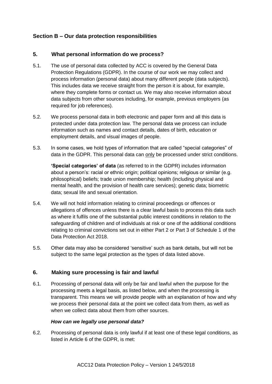# <span id="page-4-1"></span><span id="page-4-0"></span>**Section B – Our data protection responsibilities**

#### **5. What personal information do we process?**

- 5.1. The use of personal data collected by ACC is covered by the General Data Protection Regulations (GDPR). In the course of our work we may collect and process information (personal data) about many different people (data subjects). This includes data we receive straight from the person it is about, for example, where they complete forms or contact us. We may also receive information about data subjects from other sources including, for example, previous employers (as required for job references).
- 5.2. We process personal data in both electronic and paper form and all this data is protected under data protection law. The personal data we process can include information such as names and contact details, dates of birth, education or employment details, and visual images of people.
- 5.3. In some cases, we hold types of information that are called "special categories" of data in the GDPR. This personal data can only be processed under strict conditions.

**'Special categories' of data** (as referred to in the GDPR) includes information about a person's: racial or ethnic origin; political opinions; religious or similar (e.g. philosophical) beliefs; trade union membership; health (including physical and mental health, and the provision of health care services); genetic data; biometric data; sexual life and sexual orientation.

- 5.4. We will not hold information relating to criminal proceedings or offences or allegations of offences unless there is a clear lawful basis to process this data such as where it fulfils one of the substantial public interest conditions in relation to the safeguarding of children and of individuals at risk or one of the additional conditions relating to criminal convictions set out in either Part 2 or Part 3 of Schedule 1 of the Data Protection Act 2018.
- 5.5. Other data may also be considered 'sensitive' such as bank details, but will not be subject to the same legal protection as the types of data listed above.

#### <span id="page-4-2"></span>**6. Making sure processing is fair and lawful**

6.1. Processing of personal data will only be fair and lawful when the purpose for the processing meets a legal basis, as listed below, and when the processing is transparent. This means we will provide people with an explanation of how and why we process their personal data at the point we collect data from them, as well as when we collect data about them from other sources.

#### *How can we legally use personal data?*

6.2. Processing of personal data is only lawful if at least one of these legal conditions, as listed in Article 6 of the GDPR, is met: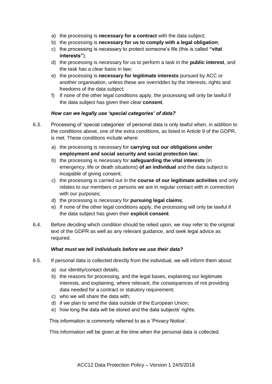- a) the processing is **necessary for a contract** with the data subject;
- b) the processing is **necessary for us to comply with a legal obligation**;
- c) the processing is necessary to protect someone's life (this is called **"vital interests"**);
- d) the processing is necessary for us to perform a task in the **public interest**, and the task has a clear basis in law;
- e) the processing is **necessary for legitimate interests** pursued by ACC or another organisation, unless these are overridden by the interests, rights and freedoms of the data subject;
- f) If none of the other legal conditions apply, the processing will only be lawful if the data subject has given their clear **consent**.

#### *How can we legally use 'special categories' of data?*

- 6.3. Processing of 'special categories' of personal data is only lawful when, in addition to the conditions above, one of the extra conditions, as listed in Article 9 of the GDPR, is met. These conditions include where:
	- a) the processing is necessary for **carrying out our obligations under employment and social security and social protection law**;
	- b) the processing is necessary for **safeguarding the vital interests** (in emergency, life or death situations) **of an individual** and the data subject is incapable of giving consent;
	- c) the processing is carried out in the **course of our legitimate activities** and only relates to our members or persons we are in regular contact with in connection with our purposes;
	- d) the processing is necessary for **pursuing legal claims**;
	- e) If none of the other legal conditions apply, the processing will only be lawful if the data subject has given their **explicit consent**.
- 6.4. Before deciding which condition should be relied upon, we may refer to the original text of the GDPR as well as any relevant guidance, and seek legal advice as required.

#### *What must we tell individuals before we use their data?*

- 6.5. If personal data is collected directly from the individual, we will inform them about:
	- a) our identity/contact details,
	- b) the reasons for processing, and the legal bases, explaining our legitimate interests, and explaining, where relevant, the consequences of not providing data needed for a contract or statutory requirement;
	- c) who we will share the data with;
	- d) if we plan to send the data outside of the European Union;
	- e) how long the data will be stored and the data subjects' rights.

This information is commonly referred to as a 'Privacy Notice'.

This information will be given at the time when the personal data is collected.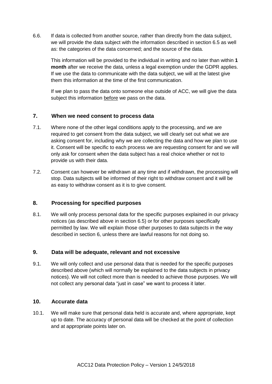6.6. If data is collected from another source, rather than directly from the data subject, we will provide the data subject with the information described in section 6.5 as well as: the categories of the data concerned; and the source of the data.

This information will be provided to the individual in writing and no later than within **1 month** after we receive the data, unless a legal exemption under the GDPR applies. If we use the data to communicate with the data subject, we will at the latest give them this information at the time of the first communication.

If we plan to pass the data onto someone else outside of ACC, we will give the data subject this information before we pass on the data.

## <span id="page-6-0"></span>**7. When we need consent to process data**

- 7.1. Where none of the other legal conditions apply to the processing, and we are required to get consent from the data subject, we will clearly set out what we are asking consent for, including why we are collecting the data and how we plan to use it. Consent will be specific to each process we are requesting consent for and we will only ask for consent when the data subject has a real choice whether or not to provide us with their data.
- 7.2. Consent can however be withdrawn at any time and if withdrawn, the processing will stop. Data subjects will be informed of their right to withdraw consent and it will be as easy to withdraw consent as it is to give consent.

# <span id="page-6-1"></span>**8. Processing for specified purposes**

8.1. We will only process personal data for the specific purposes explained in our privacy notices (as described above in section 6.5) or for other purposes specifically permitted by law. We will explain those other purposes to data subjects in the way described in section 6, unless there are lawful reasons for not doing so.

#### <span id="page-6-2"></span>**9. Data will be adequate, relevant and not excessive**

9.1. We will only collect and use personal data that is needed for the specific purposes described above (which will normally be explained to the data subjects in privacy notices). We will not collect more than is needed to achieve those purposes. We will not collect any personal data "just in case" we want to process it later.

#### <span id="page-6-3"></span>**10. Accurate data**

10.1. We will make sure that personal data held is accurate and, where appropriate, kept up to date. The accuracy of personal data will be checked at the point of collection and at appropriate points later on.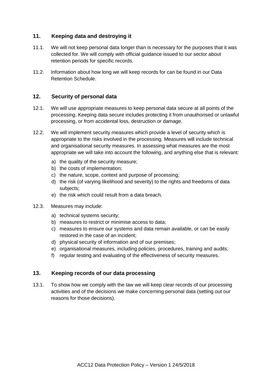## <span id="page-7-0"></span>**11. Keeping data and destroying it**

- 11.1. We will not keep personal data longer than is necessary for the purposes that it was collected for. We will comply with official guidance issued to our sector about retention periods for specific records.
- 11.2. Information about how long we will keep records for can be found in our Data Retention Schedule.

#### <span id="page-7-1"></span>**12. Security of personal data**

- 12.1. We will use appropriate measures to keep personal data secure at all points of the processing. Keeping data secure includes protecting it from unauthorised or unlawful processing, or from accidental loss, destruction or damage.
- 12.2. We will implement security measures which provide a level of security which is appropriate to the risks involved in the processing. Measures will include technical and organisational security measures. In assessing what measures are the most appropriate we will take into account the following, and anything else that is relevant:
	- a) the quality of the security measure;
	- b) the costs of implementation;
	- c) the nature, scope, context and purpose of processing;
	- d) the risk (of varying likelihood and severity) to the rights and freedoms of data subjects:
	- e) the risk which could result from a data breach.
- 12.3. Measures may include:
	- a) technical systems security;
	- b) measures to restrict or minimise access to data;
	- c) measures to ensure our systems and data remain available, or can be easily restored in the case of an incident;
	- d) physical security of information and of our premises;
	- e) organisational measures, including policies, procedures, training and audits;
	- f) regular testing and evaluating of the effectiveness of security measures.

#### <span id="page-7-2"></span>**13. Keeping records of our data processing**

13.1. To show how we comply with the law we will keep clear records of our processing activities and of the decisions we make concerning personal data (setting out our reasons for those decisions).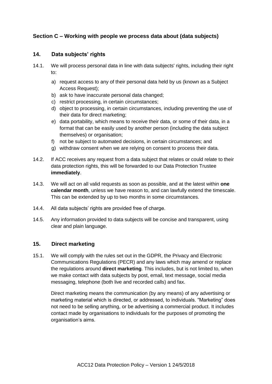# <span id="page-8-1"></span><span id="page-8-0"></span>**Section C – Working with people we process data about (data subjects)**

### **14. Data subjects' rights**

- 14.1. We will process personal data in line with data subjects' rights, including their right to:
	- a) request access to any of their personal data held by us (known as a Subject Access Request);
	- b) ask to have inaccurate personal data changed;
	- c) restrict processing, in certain circumstances;
	- d) object to processing, in certain circumstances, including preventing the use of their data for direct marketing;
	- e) data portability, which means to receive their data, or some of their data, in a format that can be easily used by another person (including the data subject themselves) or organisation;
	- f) not be subject to automated decisions, in certain circumstances; and
	- g) withdraw consent when we are relying on consent to process their data.
- 14.2. If ACC receives any request from a data subject that relates or could relate to their data protection rights, this will be forwarded to our Data Protection Trustee **immediately**.
- 14.3. We will act on all valid requests as soon as possible, and at the latest within **one calendar month**, unless we have reason to, and can lawfully extend the timescale. This can be extended by up to two months in some circumstances.
- 14.4. All data subjects' rights are provided free of charge.
- 14.5. Any information provided to data subjects will be concise and transparent, using clear and plain language.

#### <span id="page-8-2"></span>**15. Direct marketing**

15.1. We will comply with the rules set out in the GDPR, the Privacy and Electronic Communications Regulations (PECR) and any laws which may amend or replace the regulations around **direct marketing**. This includes, but is not limited to, when we make contact with data subjects by post, email, text message, social media messaging, telephone (both live and recorded calls) and fax.

Direct marketing means the communication (by any means) of any advertising or marketing material which is directed, or addressed, to individuals. "Marketing" does not need to be selling anything, or be advertising a commercial product. It includes contact made by organisations to individuals for the purposes of promoting the organisation's aims.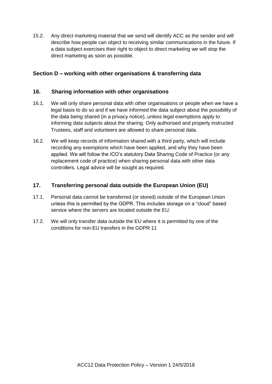15.2. Any direct marketing material that we send will identify ACC as the sender and will describe how people can object to receiving similar communications in the future. If a data subject exercises their right to object to direct marketing we will stop the direct marketing as soon as possible.

## <span id="page-9-1"></span><span id="page-9-0"></span>**Section D – working with other organisations & transferring data**

#### **16. Sharing information with other organisations**

- 16.1. We will only share personal data with other organisations or people when we have a legal basis to do so and if we have informed the data subject about the possibility of the data being shared (in a privacy notice), unless legal exemptions apply to informing data subjects about the sharing. Only authorised and properly instructed Trustees, staff and volunteers are allowed to share personal data.
- 16.2. We will keep records of information shared with a third party, which will include recording any exemptions which have been applied, and why they have been applied. We will follow the ICO's statutory Data Sharing Code of Practice (or any replacement code of practice) when sharing personal data with other data controllers. Legal advice will be sought as required.

## <span id="page-9-2"></span>**17. Transferring personal data outside the European Union (EU)**

- 17.1. Personal data cannot be transferred (or stored) outside of the European Union unless this is permitted by the GDPR. This includes storage on a "cloud" based service where the servers are located outside the EU.
- 17.2. We will only transfer data outside the EU where it is permitted by one of the conditions for non-EU transfers in the GDPR 11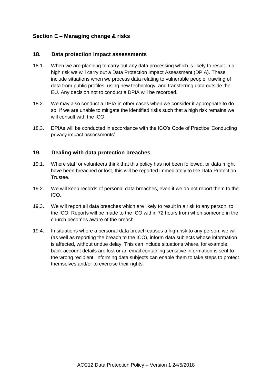# <span id="page-10-1"></span><span id="page-10-0"></span>**Section E – Managing change & risks**

#### **18. Data protection impact assessments**

- 18.1. When we are planning to carry out any data processing which is likely to result in a high risk we will carry out a Data Protection Impact Assessment (DPIA). These include situations when we process data relating to vulnerable people, trawling of data from public profiles, using new technology, and transferring data outside the EU. Any decision not to conduct a DPIA will be recorded.
- 18.2. We may also conduct a DPIA in other cases when we consider it appropriate to do so. If we are unable to mitigate the identified risks such that a high risk remains we will consult with the ICO.
- 18.3. DPIAs will be conducted in accordance with the ICO's Code of Practice 'Conducting privacy impact assessments'.

#### <span id="page-10-2"></span>**19. Dealing with data protection breaches**

- 19.1. Where staff or volunteers think that this policy has not been followed, or data might have been breached or lost, this will be reported immediately to the Data Protection Trustee.
- 19.2. We will keep records of personal data breaches, even if we do not report them to the ICO.
- 19.3. We will report all data breaches which are likely to result in a risk to any person, to the ICO. Reports will be made to the ICO within 72 hours from when someone in the church becomes aware of the breach.
- 19.4. In situations where a personal data breach causes a high risk to any person, we will (as well as reporting the breach to the ICO), inform data subjects whose information is affected, without undue delay. This can include situations where, for example, bank account details are lost or an email containing sensitive information is sent to the wrong recipient. Informing data subjects can enable them to take steps to protect themselves and/or to exercise their rights.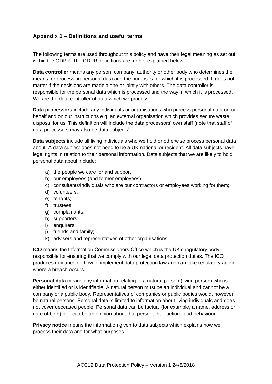# <span id="page-11-0"></span>**Appendix 1 – Definitions and useful terms**

The following terms are used throughout this policy and have their legal meaning as set out within the GDPR. The GDPR definitions are further explained below:

**Data controller** means any person, company, authority or other body who determines the means for processing personal data and the purposes for which it is processed. It does not matter if the decisions are made alone or jointly with others. The data controller is responsible for the personal data which is processed and the way in which it is processed. We are the data controller of data which we process.

**Data processors** include any individuals or organisations who process personal data on our behalf and on our instructions e.g. an external organisation which provides secure waste disposal for us. This definition will include the data processors' own staff (note that staff of data processors may also be data subjects).

**Data subjects** include all living individuals who we hold or otherwise process personal data about. A data subject does not need to be a UK national or resident. All data subjects have legal rights in relation to their personal information. Data subjects that we are likely to hold personal data about include:

- a) the people we care for and support;
- b) our employees (and former employees);
- c) consultants/individuals who are our contractors or employees working for them;
- d) volunteers;
- e) tenants;
- f) trustees;
- g) complainants;
- h) supporters;
- i) enquirers;
- j) friends and family;
- k) advisers and representatives of other organisations.

**ICO** means the Information Commissioners Office which is the UK's regulatory body responsible for ensuring that we comply with our legal data protection duties. The ICO produces guidance on how to implement data protection law and can take regulatory action where a breach occurs.

**Personal data** means any information relating to a natural person (living person) who is either identified or is identifiable. A natural person must be an individual and cannot be a company or a public body. Representatives of companies or public bodies would, however, be natural persons. Personal data is limited to information about living individuals and does not cover deceased people. Personal data can be factual (for example, a name, address or date of birth) or it can be an opinion about that person, their actions and behaviour.

**Privacy notice** means the information given to data subjects which explains how we process their data and for what purposes.